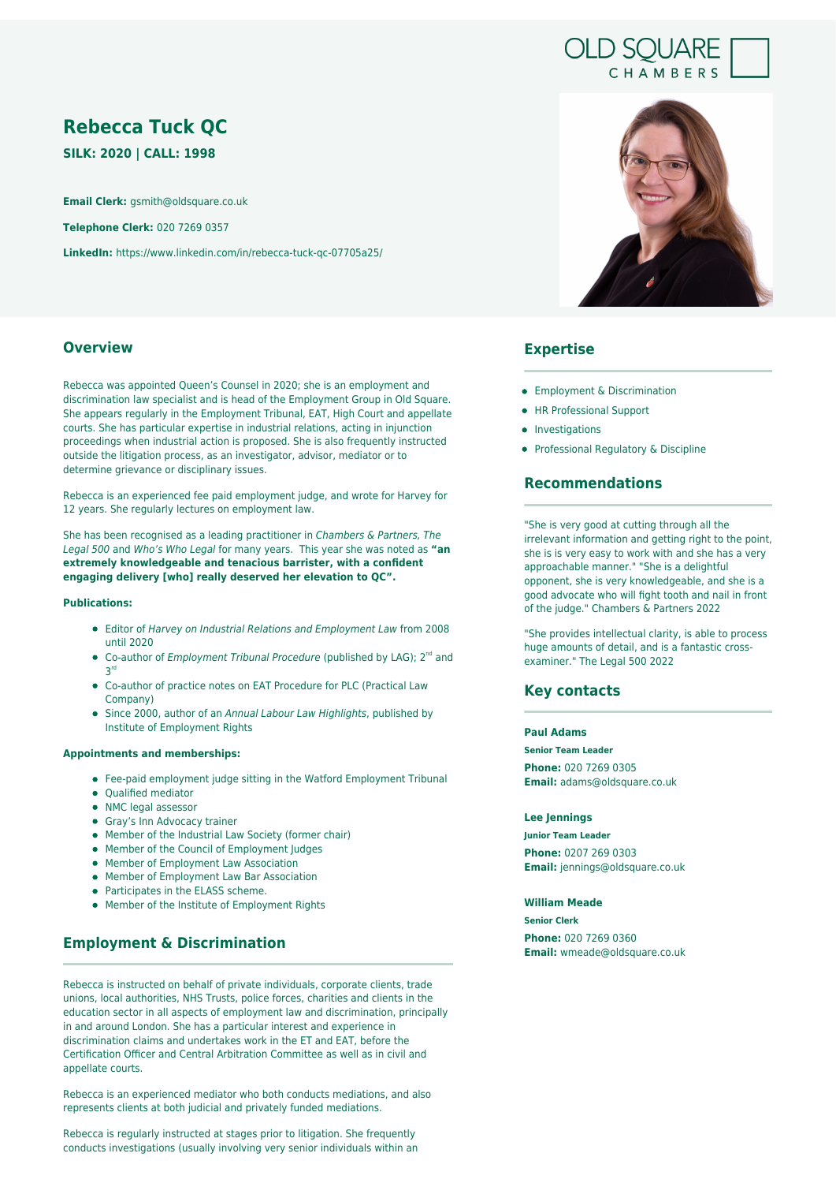# **OLD SQUARE** CHAMBERS

# **Rebecca Tuck QC**

**SILK: 2020 | CALL: 1998**

**Email Clerk:** gsmith@oldsquare.co.uk

**Telephone Clerk:** 020 7269 0357

**LinkedIn:** https://www.linkedin.com/in/rebecca-tuck-qc-07705a25/

### **Overview**

Rebecca was appointed Queen's Counsel in 2020; she is an employment and discrimination law specialist and is head of the Employment Group in Old Square. She appears regularly in the Employment Tribunal, EAT, High Court and appellate courts. She has particular expertise in industrial relations, acting in injunction proceedings when industrial action is proposed. She is also frequently instructed outside the litigation process, as an investigator, advisor, mediator or to determine grievance or disciplinary issues.

Rebecca is an experienced fee paid employment judge, and wrote for Harvey for 12 years. She regularly lectures on employment law.

She has been recognised as a leading practitioner in Chambers & Partners, The Legal 500 and Who's Who Legal for many years. This year she was noted as **"an extremely knowledgeable and tenacious barrister, with a confident engaging delivery [who] really deserved her elevation to QC".**

### **Publications:**

- Editor of Harvey on Industrial Relations and Employment Law from 2008 until 2020
- Co-author of *Employment Tribunal Procedure* (published by LAG);  $2^{nd}$  and 3 rd
- Co-author of practice notes on EAT Procedure for PLC (Practical Law Company)
- Since 2000, author of an Annual Labour Law Highlights, published by Institute of Employment Rights

#### **Appointments and memberships:**

- Fee-paid employment judge sitting in the Watford Employment Tribunal
- Qualified mediator
- NMC legal assessor
- Gray's Inn Advocacy trainer
- Member of the Industrial Law Society (former chair)
- Member of the Council of Employment Judges
- **Member of Employment Law Association**
- Member of Employment Law Bar Association
- Participates in the ELASS scheme.
- Member of the Institute of Employment Rights

# **Employment & Discrimination**

Rebecca is instructed on behalf of private individuals, corporate clients, trade unions, local authorities, NHS Trusts, police forces, charities and clients in the education sector in all aspects of employment law and discrimination, principally in and around London. She has a particular interest and experience in discrimination claims and undertakes work in the ET and EAT, before the Certification Officer and Central Arbitration Committee as well as in civil and appellate courts.

Rebecca is an experienced mediator who both conducts mediations, and also represents clients at both judicial and privately funded mediations.

Rebecca is regularly instructed at stages prior to litigation. She frequently conducts investigations (usually involving very senior individuals within an



# **Expertise**

- **•** Employment & Discrimination
- HR Professional Support
- Investigations
- Professional Regulatory & Discipline

## **Recommendations**

"She is very good at cutting through all the irrelevant information and getting right to the point, she is is very easy to work with and she has a very approachable manner." "She is a delightful opponent, she is very knowledgeable, and she is a good advocate who will fight tooth and nail in front of the judge." Chambers & Partners 2022

"She provides intellectual clarity, is able to process huge amounts of detail, and is a fantastic crossexaminer." The Legal 500 2022

### **Key contacts**

#### **Paul Adams**

**Senior Team Leader**

**Phone:** 020 7269 0305 **Email:** adams@oldsquare.co.uk

### **Lee Jennings**

**Junior Team Leader**

**Phone:** 0207 269 0303 **Email:** jennings@oldsquare.co.uk

#### **William Meade**

**Senior Clerk Phone:** 020 7269 0360 **Email:** wmeade@oldsquare.co.uk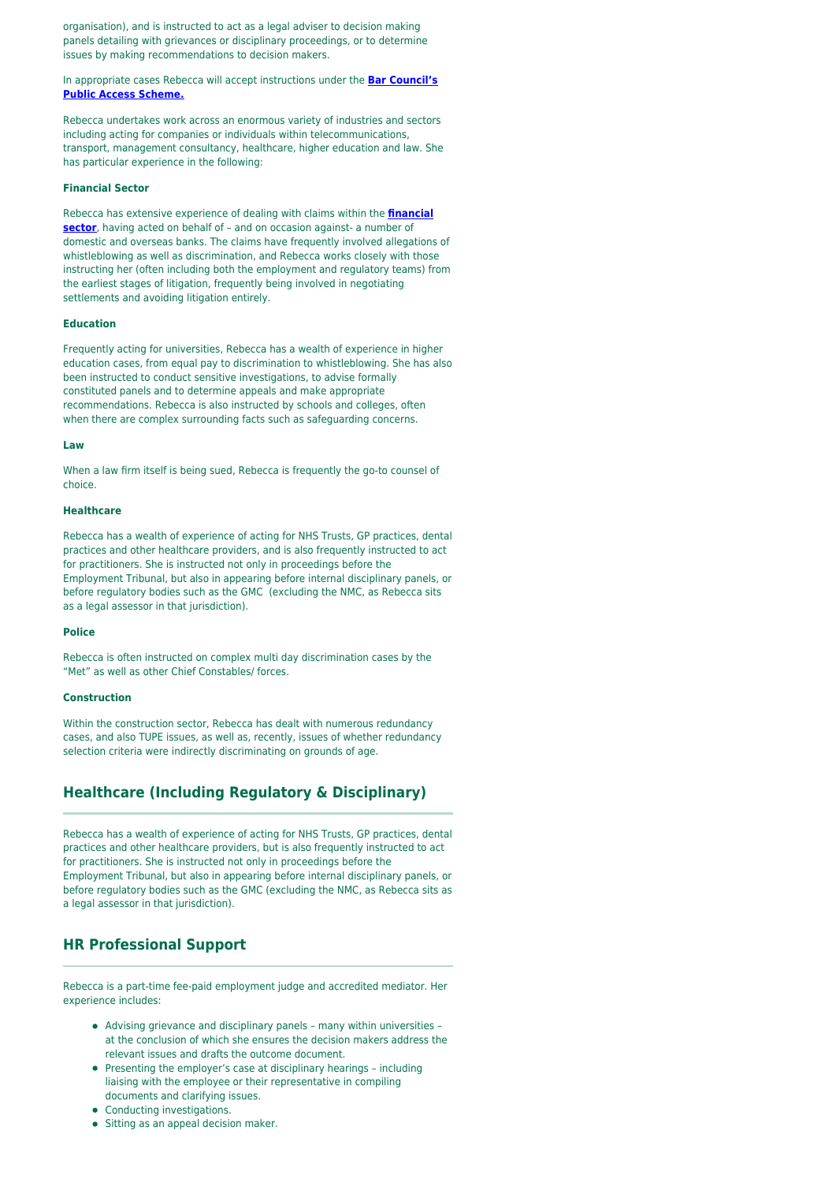organisation), and is instructed to act as a legal adviser to decision making panels detailing with grievances or disciplinary proceedings, or to determine issues by making recommendations to decision makers.

In appropriate cases Rebecca will accept instructions under the **[Bar Council's](https://www.barcouncil.org.uk/bar-council-services/for-the-public.html) [Public Access Scheme.](https://www.barcouncil.org.uk/bar-council-services/for-the-public.html)**

Rebecca undertakes work across an enormous variety of industries and sectors including acting for companies or individuals within telecommunications, transport, management consultancy, healthcare, higher education and law. She has particular experience in the following:

#### **Financial Sector**

Rebecca has extensive experience of dealing with claims within the **[financial](https://oldsquare.co.uk/sectors/financial-services/) [sector](https://oldsquare.co.uk/sectors/financial-services/)**, having acted on behalf of - and on occasion against- a number of domestic and overseas banks. The claims have frequently involved allegations of whistleblowing as well as discrimination, and Rebecca works closely with those instructing her (often including both the employment and regulatory teams) from the earliest stages of litigation, frequently being involved in negotiating settlements and avoiding litigation entirely.

#### **Education**

Frequently acting for universities, Rebecca has a wealth of experience in higher education cases, from equal pay to discrimination to whistleblowing. She has also been instructed to conduct sensitive investigations, to advise formally constituted panels and to determine appeals and make appropriate recommendations. Rebecca is also instructed by schools and colleges, often when there are complex surrounding facts such as safeguarding concerns.

#### **Law**

When a law firm itself is being sued, Rebecca is frequently the go-to counsel of choice.

#### **Healthcare**

Rebecca has a wealth of experience of acting for NHS Trusts, GP practices, dental practices and other healthcare providers, and is also frequently instructed to act for practitioners. She is instructed not only in proceedings before the Employment Tribunal, but also in appearing before internal disciplinary panels, or before regulatory bodies such as the GMC (excluding the NMC, as Rebecca sits as a legal assessor in that jurisdiction).

#### **Police**

Rebecca is often instructed on complex multi day discrimination cases by the "Met" as well as other Chief Constables/ forces.

### **Construction**

Within the construction sector, Rebecca has dealt with numerous redundancy cases, and also TUPE issues, as well as, recently, issues of whether redundancy selection criteria were indirectly discriminating on grounds of age.

### **Healthcare (Including Regulatory & Disciplinary)**

Rebecca has a wealth of experience of acting for NHS Trusts, GP practices, dental practices and other healthcare providers, but is also frequently instructed to act for practitioners. She is instructed not only in proceedings before the Employment Tribunal, but also in appearing before internal disciplinary panels, or before regulatory bodies such as the GMC (excluding the NMC, as Rebecca sits as a legal assessor in that jurisdiction).

### **HR Professional Support**

Rebecca is a part-time fee-paid employment judge and accredited mediator. Her experience includes:

- Advising grievance and disciplinary panels many within universities at the conclusion of which she ensures the decision makers address the relevant issues and drafts the outcome document.
- Presenting the employer's case at disciplinary hearings including liaising with the employee or their representative in compiling documents and clarifying issues.
- Conducting investigations.
- Sitting as an appeal decision maker.